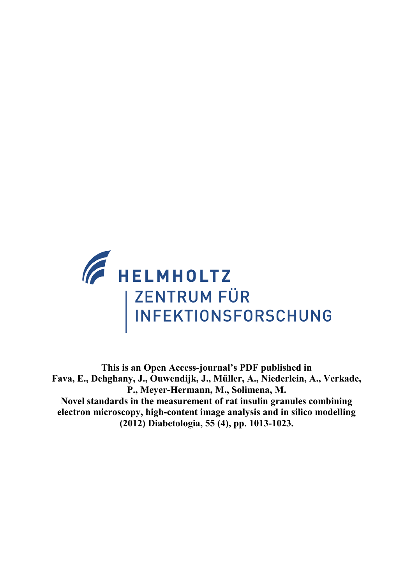

**This is an Open Access-journal's PDF published in Fava, E., Dehghany, J., Ouwendijk, J., Müller, A., Niederlein, A., Verkade, P., Meyer-Hermann, M., Solimena, M. Novel standards in the measurement of rat insulin granules combining electron microscopy, high-content image analysis and in silico modelling (2012) Diabetologia, 55 (4), pp. 1013-1023.**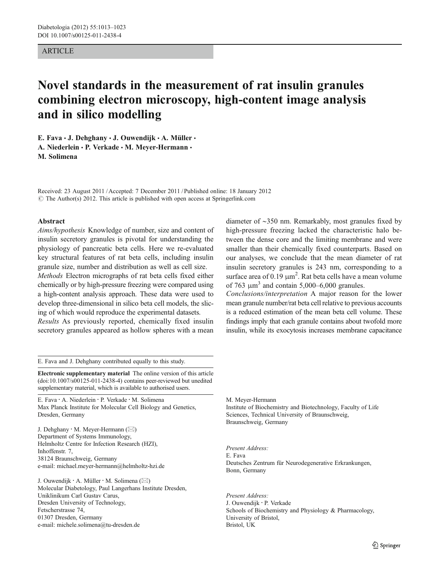## ARTICLE

# Novel standards in the measurement of rat insulin granules combining electron microscopy, high-content image analysis and in silico modelling

E. Fava  $\cdot$  J. Dehghany  $\cdot$  J. Ouwendijk  $\cdot$  A. Müller  $\cdot$ A. Niederlein · P. Verkade · M. Meyer-Hermann · M. Solimena

Received: 23 August 2011 /Accepted: 7 December 2011 / Published online: 18 January 2012  $\odot$  The Author(s) 2012. This article is published with open access at Springerlink.com

#### Abstract

Aims/hypothesis Knowledge of number, size and content of insulin secretory granules is pivotal for understanding the physiology of pancreatic beta cells. Here we re-evaluated key structural features of rat beta cells, including insulin granule size, number and distribution as well as cell size.

Methods Electron micrographs of rat beta cells fixed either chemically or by high-pressure freezing were compared using a high-content analysis approach. These data were used to develop three-dimensional in silico beta cell models, the slicing of which would reproduce the experimental datasets.

Results As previously reported, chemically fixed insulin secretory granules appeared as hollow spheres with a mean

E. Fava and J. Dehghany contributed equally to this study.

Electronic supplementary material The online version of this article (doi:[10.1007/s00125-011-2438-4\)](http://dx.doi.org/10.1007/s00125-011-2438-4) contains peer-reviewed but unedited supplementary material, which is available to authorised users.

E. Fava : A. Niederlein : P. Verkade : M. Solimena Max Planck Institute for Molecular Cell Biology and Genetics, Dresden, Germany

J. Dehghany  $\cdot$  M. Meyer-Hermann ( $\boxtimes$ ) Department of Systems Immunology, Helmholtz Centre for Infection Research (HZI), Inhoffenstr. 7, 38124 Braunschweig, Germany e-mail: michael.meyer-hermann@helmholtz-hzi.de

J. Ouwendijk  $\cdot$  A. Müller  $\cdot$  M. Solimena ( $\boxtimes$ ) Molecular Diabetology, Paul Langerhans Institute Dresden, Uniklinikum Carl Gustav Carus, Dresden University of Technology, Fetscherstrasse 74, 01307 Dresden, Germany e-mail: michele.solimena@tu-dresden.de

diameter of ∼350 nm. Remarkably, most granules fixed by high-pressure freezing lacked the characteristic halo between the dense core and the limiting membrane and were smaller than their chemically fixed counterparts. Based on our analyses, we conclude that the mean diameter of rat insulin secretory granules is 243 nm, corresponding to a surface area of  $0.19 \mu m^2$ . Rat beta cells have a mean volume of 763  $\mu$ m<sup>3</sup> and contain 5,000–6,000 granules.

Conclusions/interpretation A major reason for the lower mean granule number/rat beta cell relative to previous accounts is a reduced estimation of the mean beta cell volume. These findings imply that each granule contains about twofold more insulin, while its exocytosis increases membrane capacitance

M. Meyer-Hermann Institute of Biochemistry and Biotechnology, Faculty of Life Sciences, Technical University of Braunschweig, Braunschweig, Germany

Present Address: E. Fava Deutsches Zentrum für Neurodegenerative Erkrankungen, Bonn, Germany

Present Address: J. Ouwendijk : P. Verkade Schools of Biochemistry and Physiology & Pharmacology, University of Bristol, Bristol, UK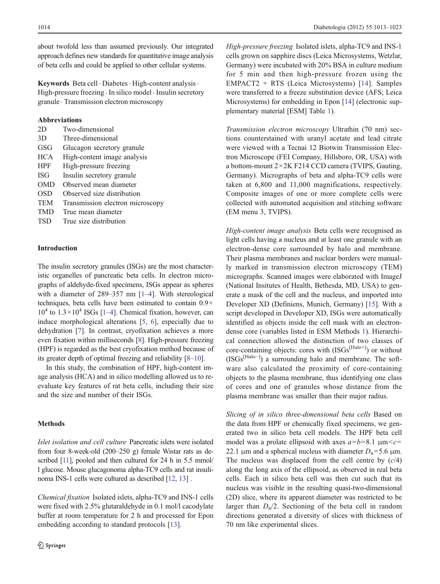about twofold less than assumed previously. Our integrated approach defines new standards for quantitative image analysis of beta cells and could be applied to other cellular systems.

Keywords Beta cell · Diabetes · High-content analysis · High-pressure freezing  $\cdot$  In silico model  $\cdot$  Insulin secretory granule . Transmission electron microscopy

#### Abbreviations

| 2D         | Two-dimensional                  |
|------------|----------------------------------|
| 3D         | Three-dimensional                |
| GSG        | Glucagon secretory granule       |
| HCA        | High-content image analysis      |
| <b>HPF</b> | High-pressure freezing           |
| ISG        | Insulin secretory granule        |
| <b>OMD</b> | Observed mean diameter           |
| <b>OSD</b> | Observed size distribution       |
| TEM        | Transmission electron microscopy |
| TMD        | True mean diameter               |
| TSD        | True size distribution           |
|            |                                  |

# Introduction

The insulin secretory granules (ISGs) are the most characteristic organelles of pancreatic beta cells. In electron micrographs of aldehyde-fixed specimens, ISGs appear as spheres with a diameter of 289–357 nm [[1](#page-11-0)–[4\]](#page-11-0). With stereological techniques, beta cells have been estimated to contain 0.9×  $10^4$  $10^4$  to  $1.3 \times 10^4$  ISGs [1–[4\]](#page-11-0). Chemical fixation, however, can induce morphological alterations [\[5](#page-11-0), [6](#page-11-0)], especially due to dehydration [\[7](#page-11-0)]. In contrast, cryofixation achieves a more even fixation within milliseconds [\[8\]](#page-11-0). High-pressure freezing (HPF) is regarded as the best cryofixation method because of its greater depth of optimal freezing and reliability [[8](#page-11-0)–[10](#page-11-0)].

In this study, the combination of HPF, high-content image analysis (HCA) and in silico modelling allowed us to reevaluate key features of rat beta cells, including their size and the size and number of their ISGs.

# Methods

Islet isolation and cell culture Pancreatic islets were isolated from four 8-week-old (200–250 g) female Wistar rats as de-scribed [[11\]](#page-11-0), pooled and then cultured for 24 h in 5.5 mmol/ l glucose. Mouse glucagonoma alpha-TC9 cells and rat insulinoma INS-1 cells were cultured as described [[12](#page-11-0), [13\]](#page-11-0) .

Chemical fixation Isolated islets, alpha-TC9 and INS-1 cells were fixed with 2.5% glutaraldehyde in 0.1 mol/l cacodylate buffer at room temperature for 2 h and processed for Epon embedding according to standard protocols [\[13](#page-11-0)].

High-pressure freezing Isolated islets, alpha-TC9 and INS-1 cells grown on sapphire discs (Leica Microsystems, Wetzlar, Germany) were incubated with 20% BSA in culture medium for 5 min and then high-pressure frozen using the EMPACT2 + RTS (Leica Microsystems) [[14](#page-11-0)]. Samples were transferred to a freeze substitution device (AFS; Leica Microsystems) for embedding in Epon [\[14](#page-11-0)] (electronic supplementary material [ESM] Table 1).

Transmission electron microscopy Ultrathin (70 nm) sections counterstained with uranyl acetate and lead citrate were viewed with a Tecnai 12 Biotwin Transmission Electron Microscope (FEI Company, Hillsboro, OR, USA) with a bottom-mount 2×2K F214 CCD camera (TVIPS, Gauting, Germany). Micrographs of beta and alpha-TC9 cells were taken at 6,800 and 11,000 magnifications, respectively. Composite images of one or more complete cells were collected with automated acquisition and stitching software (EM menu 3, TVIPS).

High-content image analysis Beta cells were recognised as light cells having a nucleus and at least one granule with an electron-dense core surrounded by halo and membrane. Their plasma membranes and nuclear borders were manually marked in transmission electron microscopy (TEM) micrographs. Scanned images were elaborated with ImageJ (National Insitutes of Health, Bethesda, MD, USA) to generate a mask of the cell and the nucleus, and imported into Developer XD (Definiens, Munich, Germany) [\[15](#page-11-0)]. With a script developed in Developer XD, ISGs were automatically identified as objects inside the cell mask with an electrondense core (variables listed in ESM Methods 1). Hierarchical connection allowed the distinction of two classes of core-containing objects: cores with  $(ISGs^{[Halo+]} )$  or without (ISGs[Halo−] ) a surrounding halo and membrane. The software also calculated the proximity of core-containing objects to the plasma membrane, thus identifying one class of cores and one of granules whose distance from the plasma membrane was smaller than their major radius.

Slicing of in silico three-dimensional beta cells Based on the data from HPF or chemically fixed specimens, we generated two in silico beta cell models. The HPF beta cell model was a prolate ellipsoid with axes  $a=b=8.1 \mu m < c=$ 22.1 μm and a spherical nucleus with diameter  $D_n=5.6$  μm. The nucleus was displaced from the cell centre by  $(c/4)$ along the long axis of the ellipsoid, as observed in real beta cells. Each in silico beta cell was then cut such that its nucleus was visible in the resulting quasi-two-dimensional (2D) slice, where its apparent diameter was restricted to be larger than  $D_n/2$ . Sectioning of the beta cell in random directions generated a diversity of slices with thickness of 70 nm like experimental slices.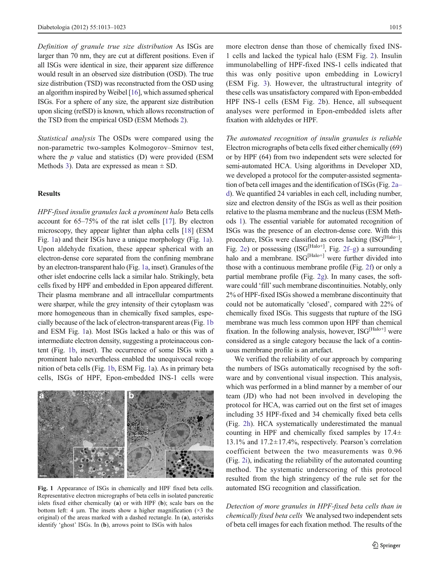<span id="page-3-0"></span>Definition of granule true size distribution As ISGs are larger than 70 nm, they are cut at different positions. Even if all ISGs were identical in size, their apparent size difference would result in an observed size distribution (OSD). The true size distribution (TSD) was reconstructed from the OSD using an algorithm inspired by Weibel [\[16\]](#page-11-0), which assumed spherical ISGs. For a sphere of any size, the apparent size distribution upon slicing (refSD) is known, which allows reconstruction of the TSD from the empirical OSD (ESM Methods 2).

Statistical analysis The OSDs were compared using the non-parametric two-samples Kolmogorov–Smirnov test, where the  $p$  value and statistics (D) were provided (ESM Methods 3). Data are expressed as mean  $\pm$  SD.

# Results

HPF-fixed insulin granules lack a prominent halo Beta cells account for 65–75% of the rat islet cells [\[17](#page-11-0)]. By electron microscopy, they appear lighter than alpha cells [\[18](#page-11-0)] (ESM Fig. 1a) and their ISGs have a unique morphology (Fig. 1a). Upon aldehyde fixation, these appear spherical with an electron-dense core separated from the confining membrane by an electron-transparent halo (Fig. 1a, inset). Granules of the other islet endocrine cells lack a similar halo. Strikingly, beta cells fixed by HPF and embedded in Epon appeared different. Their plasma membrane and all intracellular compartments were sharper, while the grey intensity of their cytoplasm was more homogeneous than in chemically fixed samples, especially because of the lack of electron-transparent areas (Fig. 1b and ESM Fig. 1a). Most ISGs lacked a halo or this was of intermediate electron density, suggesting a proteinaceous content (Fig. 1b, inset). The occurrence of some ISGs with a prominent halo nevertheless enabled the unequivocal recognition of beta cells (Fig. 1b, ESM Fig. 1a). As in primary beta cells, ISGs of HPF, Epon-embedded INS-1 cells were



Fig. 1 Appearance of ISGs in chemically and HPF fixed beta cells. Representative electron micrographs of beta cells in isolated pancreatic islets fixed either chemically (a) or with HPF (b); scale bars on the bottom left: 4  $\mu$ m. The insets show a higher magnification ( $\times$ 3 the original) of the areas marked with a dashed rectangle. In (a), asterisks identify 'ghost' ISGs. In (b), arrows point to ISGs with halos

more electron dense than those of chemically fixed INS-1 cells and lacked the typical halo (ESM Fig. 2). Insulin immunolabelling of HPF-fixed INS-1 cells indicated that this was only positive upon embedding in Lowicryl (ESM Fig. 3). However, the ultrastructural integrity of these cells was unsatisfactory compared with Epon-embedded HPF INS-1 cells (ESM Fig. 2b). Hence, all subsequent analyses were performed in Epon-embedded islets after fixation with aldehydes or HPF.

The automated recognition of insulin granules is reliable Electron micrographs of beta cells fixed either chemically (69) or by HPF (64) from two independent sets were selected for semi-automated HCA. Using algorithms in Developer XD, we developed a protocol for the computer-assisted segmentation of beta cell images and the identification of ISGs (Fig. [2a](#page-4-0)– [d](#page-4-0)). We quantified 24 variables in each cell, including number, size and electron density of the ISGs as well as their position relative to the plasma membrane and the nucleus (ESM Methods 1). The essential variable for automated recognition of ISGs was the presence of an electron-dense core. With this procedure, ISGs were classified as cores lacking (ISG<sup>[Halo−]</sup>, Fig. [2e](#page-4-0)) or possessing (ISG<sup>[Halo+]</sup>, Fig. [2f](#page-4-0)-g) a surrounding halo and a membrane. ISG<sup>[Halo+]</sup> were further divided into those with a continuous membrane profile (Fig. [2f](#page-4-0)) or only a partial membrane profile (Fig. [2g](#page-4-0)). In many cases, the software could 'fill' such membrane discontinuities. Notably, only 2% of HPF-fixed ISGs showed a membrane discontinuity that could not be automatically 'closed', compared with 22% of chemically fixed ISGs. This suggests that rupture of the ISG membrane was much less common upon HPF than chemical fixation. In the following analysis, however,  $ISG<sup>[Halo+]</sup>$  were considered as a single category because the lack of a continuous membrane profile is an artefact.

We verified the reliability of our approach by comparing the numbers of ISGs automatically recognised by the software and by conventional visual inspection. This analysis, which was performed in a blind manner by a member of our team (JD) who had not been involved in developing the protocol for HCA, was carried out on the first set of images including 35 HPF-fixed and 34 chemically fixed beta cells (Fig. [2h](#page-4-0)). HCA systematically underestimated the manual counting in HPF and chemically fixed samples by  $17.4\pm$ 13.1% and 17.2±17.4%, respectively. Pearson's correlation coefficient between the two measurements was 0.96 (Fig. [2i](#page-4-0)), indicating the reliability of the automated counting method. The systematic underscoring of this protocol resulted from the high stringency of the rule set for the automated ISG recognition and classification.

Detection of more granules in HPF-fixed beta cells than in chemically fixed beta cells We analysed two independent sets of beta cell images for each fixation method. The results of the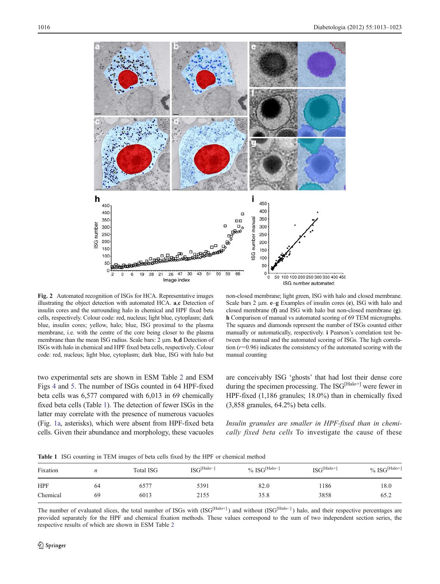<span id="page-4-0"></span>

Fig. 2 Automated recognition of ISGs for HCA. Representative images illustrating the object detection with automated HCA. a,c Detection of insulin cores and the surrounding halo in chemical and HPF fixed beta cells, respectively. Colour code: red, nucleus; light blue, cytoplasm; dark blue, insulin cores; yellow, halo; blue, ISG proximal to the plasma membrane, i.e. with the centre of the core being closer to the plasma membrane than the mean ISG radius. Scale bars: 2 μm. b,d Detection of ISGs with halo in chemical and HPF fixed beta cells, respectively. Colour code: red, nucleus; light blue, cytoplasm; dark blue, ISG with halo but

non-closed membrane; light green, ISG with halo and closed membrane. Scale bars 2 μm. e–g Examples of insulin cores (e), ISG with halo and closed membrane (f) and ISG with halo but non-closed membrane (g). h Comparison of manual vs automated scoring of 69 TEM micrographs. The squares and diamonds represent the number of ISGs counted either manually or automatically, respectively. i Pearson's correlation test between the manual and the automated scoring of ISGs. The high correlation  $(r=0.96)$  indicates the consistency of the automated scoring with the manual counting

two experimental sets are shown in ESM Table 2 and ESM Figs 4 and 5. The number of ISGs counted in 64 HPF-fixed beta cells was 6,577 compared with 6,013 in 69 chemically fixed beta cells (Table 1). The detection of fewer ISGs in the latter may correlate with the presence of numerous vacuoles (Fig. [1a,](#page-3-0) asterisks), which were absent from HPF-fixed beta cells. Given their abundance and morphology, these vacuoles are conceivably ISG 'ghosts' that had lost their dense core during the specimen processing. The ISG<sup>[Halo+]</sup> were fewer in HPF-fixed (1,186 granules; 18.0%) than in chemically fixed (3,858 granules, 64.2%) beta cells.

Insulin granules are smaller in HPF-fixed than in chemically fixed beta cells To investigate the cause of these

Table 1 ISG counting in TEM images of beta cells fixed by the HPF or chemical method

| Fixation   | n  | <b>Total ISG</b> | $\text{ISG}^{\text{[Halo]} }$ | $\%$ ISG <sup>[Halo-]</sup> | $ISG^{[Halo+]}$ | $\%$ ISG <sup>[Halo+]</sup> |
|------------|----|------------------|-------------------------------|-----------------------------|-----------------|-----------------------------|
| <b>HPF</b> | 64 | 6577             | 5391                          | 82.0                        | 186             | 18.0                        |
| Chemical   | 69 | 6013             | 2155                          | 35.8                        | 3858            | 65.2                        |

The number of evaluated slices, the total number of ISGs with  $(ISG<sup>[Halo+]</sup>)$  and without  $(ISG<sup>[Halo-]</sup>)$  halo, and their respective percentages are provided separately for the HPF and chemical fixation methods. These values correspond to the sum of two independent section series, the respective results of which are shown in ESM Table 2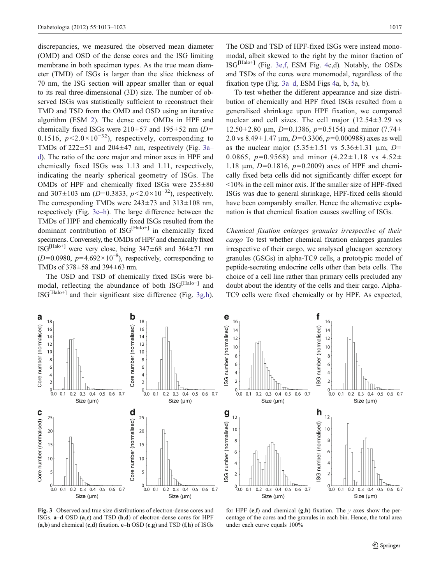<span id="page-5-0"></span>discrepancies, we measured the observed mean diameter (OMD) and OSD of the dense cores and the ISG limiting membrane in both specimen types. As the true mean diameter (TMD) of ISGs is larger than the slice thickness of 70 nm, the ISG section will appear smaller than or equal to its real three-dimensional (3D) size. The number of observed ISGs was statistically sufficient to reconstruct their TMD and TSD from the OMD and OSD using an iterative algorithm (ESM 2). The dense core OMDs in HPF and chemically fixed ISGs were  $210\pm57$  and  $195\pm52$  nm (D= 0.1516,  $p < 2.0 \times 10^{-32}$ ), respectively, corresponding to TMDs of  $222 \pm 51$  and  $204 \pm 47$  nm, respectively (Fig. 3a– d). The ratio of the core major and minor axes in HPF and chemically fixed ISGs was 1.13 and 1.11, respectively, indicating the nearly spherical geometry of ISGs. The OMDs of HPF and chemically fixed ISGs were  $235\pm80$ and 307 $\pm$ 103 nm (D=0.3833, p<2.0×10<sup>-32</sup>), respectively. The corresponding TMDs were  $243\pm73$  and  $313\pm108$  nm, respectively (Fig. 3e–h). The large difference between the TMDs of HPF and chemically fixed ISGs resulted from the dominant contribution of  $ISG^{[Halo+]}$  in chemically fixed specimens. Conversely, the OMDs of HPF and chemically fixed ISG<sup>[Halo+]</sup> were very close, being  $347\pm68$  and  $364\pm71$  nm  $(D=0.0980, p=4.692\times10^{-8})$ , respectively, corresponding to TMDs of 378±58 and 394±63 nm.

The OSD and TSD of chemically fixed ISGs were bimodal, reflecting the abundance of both ISG<sup>[Halo−]</sup> and  $\text{ISG}^{\text{[Halo+]}}$  and their significant size difference (Fig. 3g,h).

The OSD and TSD of HPF-fixed ISGs were instead monomodal, albeit skewed to the right by the minor fraction of  $ISG<sup>[Halo+]</sup>$  (Fig. 3e,f, ESM Fig. 4c,d). Notably, the OSDs and TSDs of the cores were monomodal, regardless of the fixation type (Fig. 3a–d, ESM Figs 4a, b, 5a, b).

To test whether the different appearance and size distribution of chemically and HPF fixed ISGs resulted from a generalised shrinkage upon HPF fixation, we compared nuclear and cell sizes. The cell major  $(12.54 \pm 3.29 \text{ vs }$  $12.50\pm2.80$  μm,  $D=0.1386$ ,  $p=0.5154$ ) and minor (7.74 $\pm$ 2.0 vs  $8.49 \pm 1.47$  μm,  $D=0.3306$ ,  $p=0.000988$ ) axes as well as the nuclear major  $(5.35 \pm 1.51 \text{ vs } 5.36 \pm 1.31 \text{ µm}, D=$ 0.0865,  $p=0.9568$ ) and minor  $(4.22\pm1.18 \text{ vs } 4.52\pm1.18)$ 1.18 μm,  $D=0.1816$ ,  $p=0.2009$ ) axes of HPF and chemically fixed beta cells did not significantly differ except for <10% in the cell minor axis. If the smaller size of HPF-fixed ISGs was due to general shrinkage, HPF-fixed cells should have been comparably smaller. Hence the alternative explanation is that chemical fixation causes swelling of ISGs.

Chemical fixation enlarges granules irrespective of their cargo To test whether chemical fixation enlarges granules irrespective of their cargo, we analysed glucagon secretory granules (GSGs) in alpha-TC9 cells, a prototypic model of peptide-secreting endocrine cells other than beta cells. The choice of a cell line rather than primary cells precluded any doubt about the identity of the cells and their cargo. Alpha-TC9 cells were fixed chemically or by HPF. As expected,





Fig. 3 Observed and true size distributions of electron-dense cores and ISGs. a–d OSD (a,c) and TSD (b,d) of electron-dense cores for HPF  $(a,b)$  and chemical  $(c,d)$  fixation.  $e-h$  OSD  $(e,g)$  and TSD  $(f,h)$  of ISGs

for HPF  $(e, f)$  and chemical  $(g, h)$  fixation. The y axes show the percentage of the cores and the granules in each bin. Hence, the total area under each curve equals 100%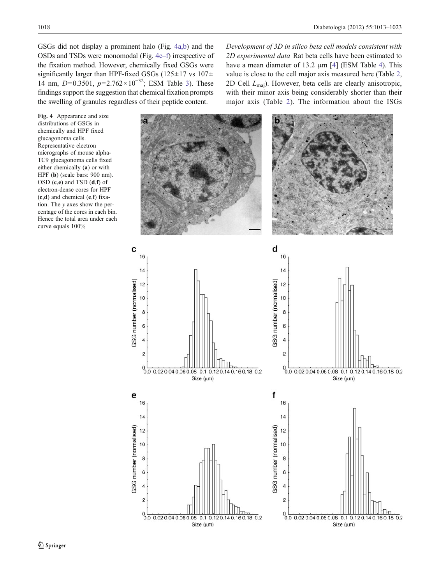GSGs did not display a prominent halo (Fig. 4a,b) and the OSDs and TSDs were monomodal (Fig. 4c–f) irrespective of the fixation method. However, chemically fixed GSGs were significantly larger than HPF-fixed GSGs (125 $\pm$ 17 vs 107 $\pm$ ) 14 nm, D=0.3501,  $p=2.762\times10^{-32}$ ; ESM Table 3). These findings support the suggestion that chemical fixation prompts the swelling of granules regardless of their peptide content.

Fig. 4 Appearance and size distributions of GSGs in chemically and HPF fixed glucagonoma cells. Representative electron micrographs of mouse alpha-TC9 glucagonoma cells fixed either chemically (a) or with HPF (b) (scale bars: 900 nm). OSD (c,e) and TSD (d,f) of electron-dense cores for HPF (c,d) and chemical (e,f) fixation. The  $y$  axes show the percentage of the cores in each bin. Hence the total area under each curve equals 100%



Development of 3D in silico beta cell models consistent with 2D experimental data Rat beta cells have been estimated to have a mean diameter of 13.2 μm [[4\]](#page-11-0) (ESM Table 4). This value is close to the cell major axis measured here (Table [2,](#page-7-0) 2D Cell Lmaj). However, beta cells are clearly anisotropic, with their minor axis being considerably shorter than their major axis (Table [2\)](#page-7-0). The information about the ISGs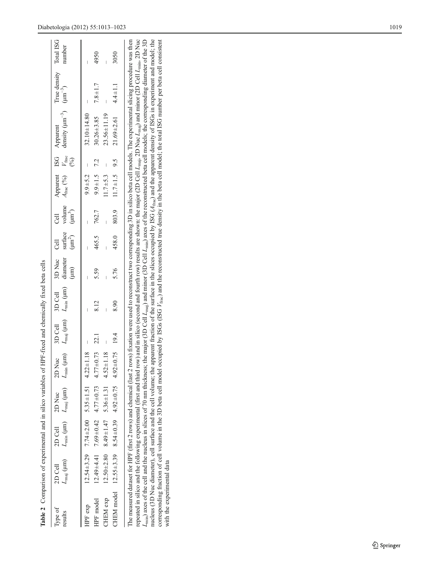<span id="page-7-0"></span>

| strape z comparison or experimental and m since variables or Hr-r-nxed and chemically nixed beta cents |                                        |                                                                  |                                                                                   |                      |         |                                                                                |                              |             |                                            |                                                 |                       |                                                                                                                                                                                                                                                                                                                                                                                                                                                                                                                                                                                                                                                                                                                                                                                                                                                                                                                                                                                                                                                                                     |                        |        |
|--------------------------------------------------------------------------------------------------------|----------------------------------------|------------------------------------------------------------------|-----------------------------------------------------------------------------------|----------------------|---------|--------------------------------------------------------------------------------|------------------------------|-------------|--------------------------------------------|-------------------------------------------------|-----------------------|-------------------------------------------------------------------------------------------------------------------------------------------------------------------------------------------------------------------------------------------------------------------------------------------------------------------------------------------------------------------------------------------------------------------------------------------------------------------------------------------------------------------------------------------------------------------------------------------------------------------------------------------------------------------------------------------------------------------------------------------------------------------------------------------------------------------------------------------------------------------------------------------------------------------------------------------------------------------------------------------------------------------------------------------------------------------------------------|------------------------|--------|
| Type of<br>results                                                                                     | $L_{\text{maj}}$ ( $\mu$ m)<br>2D Cell | $2D$ Cell                                                        | $L_{\min}$ ( $\mu$ m) $L_{\text{maj}}$ ( $\mu$ m) $L_{\min}$ ( $\mu$ m)<br>2D Nuc | 2D Nuc               | 3D Cell | $L_{\text{maj}}$ (µm) $L_{\text{min}}$ (µm) diameter surface volume<br>3D Cell | 3D Nuc Cell<br>$(\text{mm})$ | $(\mu m^2)$ | $\left( \mu \text{m}^{3}\right)$<br>ි<br>ට | Apparent ISG Apparent<br>$A_{\text{frac}}(9/6)$ | $V_{\text{frac}}$ (%) | density $(\mu m^{-3})$ $(\mu m^{-3})$                                                                                                                                                                                                                                                                                                                                                                                                                                                                                                                                                                                                                                                                                                                                                                                                                                                                                                                                                                                                                                               | True density Total ISG | number |
| HPF exp                                                                                                |                                        | $12.54 \pm 3.29$ $7.74 \pm 2.00$ $5.35 \pm 1.51$ $4.22 \pm 1.18$ |                                                                                   |                      |         |                                                                                |                              |             |                                            | $9.9 + 5.2$                                     |                       | $32.10 \pm 14.80$                                                                                                                                                                                                                                                                                                                                                                                                                                                                                                                                                                                                                                                                                                                                                                                                                                                                                                                                                                                                                                                                   |                        |        |
| HPF model                                                                                              |                                        | $12.49 \pm 4.41$ 7.69 $\pm$ 0.42 4.77 $\pm$ 0.73                 |                                                                                   | $4.77 \pm 0.73$ 22.1 |         | 8.12                                                                           | 5.59                         | 465.5       | 762.7                                      | $9.9 \pm 1.5$ 7.2                               |                       | $30.26 + 3.85$                                                                                                                                                                                                                                                                                                                                                                                                                                                                                                                                                                                                                                                                                                                                                                                                                                                                                                                                                                                                                                                                      | $7.8 \pm 1.7$          | 4950   |
| CHEM exp                                                                                               |                                        | $12.50 \pm 2.80$ $8.49 \pm 1.47$ $5.36 \pm 1.31$ 4.52            |                                                                                   | ±1.18                |         | I                                                                              | Ï                            |             |                                            | $11.7 + 5.3$                                    | $\overline{1}$        | $23.56 \pm 11.19$                                                                                                                                                                                                                                                                                                                                                                                                                                                                                                                                                                                                                                                                                                                                                                                                                                                                                                                                                                                                                                                                   |                        |        |
| CHEM model $12.55 \pm 3.39$ 8.54 $\pm$ 0.39 4.92 $\pm$ 0.75                                            |                                        |                                                                  |                                                                                   | $4.92 \pm 0.75$ 19.4 |         | 8.90                                                                           | 5.76                         | 458.0       | 803.9                                      | $11.7 \pm 1.5$ 9.5                              |                       | $21.69 + 2.61$                                                                                                                                                                                                                                                                                                                                                                                                                                                                                                                                                                                                                                                                                                                                                                                                                                                                                                                                                                                                                                                                      | $4.4 + 1.1$            | 3050   |
| corresponding fraction of cell volume in the 3D beta cell model<br>with the experimental data          |                                        |                                                                  |                                                                                   |                      |         |                                                                                |                              |             |                                            |                                                 |                       | repeated in silico and the following experimental (first and third row) and in silico (second and fourth row) results are shown: the major (2D Cell $L_{\text{max}}$ , 2D Nuc $L_{\text{max}}$ ) and minor (2D Cell $L_{\text{max}}$ , 2D Nuc<br>$L_{\text{min}}$ ) axes of the cell and the nucleus in slices of 70 nm thickness; the major (3D Cell $L_{\text{min}}$ ) and minor (3D Cell $L_{\text{min}}$ ) axes of the reconstructed beta cell models; the corresponding diameter of the 3D<br>nucleus (3D Nuc diameter), cell surface and the cell volume; the apparent fraction of the surface in the slices occupied by ISG $(A_{\text{frac}})$ and the apparent density of ISGs in experiment and model; the<br>occupied by ISGs (ISG $V_{\text{frac}}$ ) and the reconstructed true density in the beta cell model; the total ISG number per beta cell consistent<br>The measured dataset for HPF (first 2 rows) and chemical (last 2 rows) fixation were used to reconstruct two corresponding 3D in silico beta cell models. The experimental slicing procedure was then |                        |        |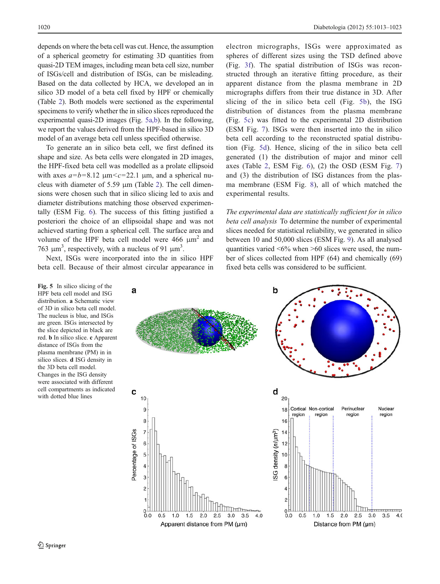depends on where the beta cell was cut. Hence, the assumption of a spherical geometry for estimating 3D quantities from quasi-2D TEM images, including mean beta cell size, number of ISGs/cell and distribution of ISGs, can be misleading. Based on the data collected by HCA, we developed an in silico 3D model of a beta cell fixed by HPF or chemically (Table [2](#page-7-0)). Both models were sectioned as the experimental specimens to verify whether the in silico slices reproduced the experimental quasi-2D images (Fig. 5a,b). In the following, we report the values derived from the HPF-based in silico 3D model of an average beta cell unless specified otherwise.

To generate an in silico beta cell, we first defined its shape and size. As beta cells were elongated in 2D images, the HPF-fixed beta cell was modelled as a prolate ellipsoid with axes  $a=b=8.12 \mu m < c=22.1 \mu m$ , and a spherical nucleus with diameter of 5.59 μm (Table [2\)](#page-7-0). The cell dimensions were chosen such that in silico slicing led to axis and diameter distributions matching those observed experimentally (ESM Fig. 6). The success of this fitting justified a posteriori the choice of an ellipsoidal shape and was not achieved starting from a spherical cell. The surface area and volume of the HPF beta cell model were  $466 \mu m^2$  and 763 μm<sup>3</sup>, respectively, with a nucleus of 91 μm<sup>3</sup>.

Next, ISGs were incorporated into the in silico HPF beta cell. Because of their almost circular appearance in

Fig. 5 In silico slicing of the HPF beta cell model and ISG distribution. a Schematic view of 3D in silico beta cell model. The nucleus is blue, and ISGs are green. ISGs intersected by the slice depicted in black are red. b In silico slice. c Apparent distance of ISGs from the plasma membrane (PM) in in silico slices. d ISG density in the 3D beta cell model. Changes in the ISG density were associated with different cell compartments as indicated with dotted blue lines

electron micrographs, ISGs were approximated as spheres of different sizes using the TSD defined above (Fig. [3f\)](#page-5-0). The spatial distribution of ISGs was reconstructed through an iterative fitting procedure, as their apparent distance from the plasma membrane in 2D micrographs differs from their true distance in 3D. After slicing of the in silico beta cell (Fig. 5b), the ISG distribution of distances from the plasma membrane (Fig. 5c) was fitted to the experimental 2D distribution (ESM Fig. 7). ISGs were then inserted into the in silico beta cell according to the reconstructed spatial distribution (Fig. 5d). Hence, slicing of the in silico beta cell generated (1) the distribution of major and minor cell axes (Table [2](#page-7-0), ESM Fig. 6), (2) the OSD (ESM Fig. 7) and (3) the distribution of ISG distances from the plasma membrane (ESM Fig. 8), all of which matched the experimental results.

The experimental data are statistically sufficient for in silico beta cell analysis To determine the number of experimental slices needed for statistical reliability, we generated in silico between 10 and 50,000 slices (ESM Fig. 9). As all analysed quantities varied  $\langle 6\%$  when  $\rangle 60$  slices were used, the number of slices collected from HPF (64) and chemically (69) fixed beta cells was considered to be sufficient.

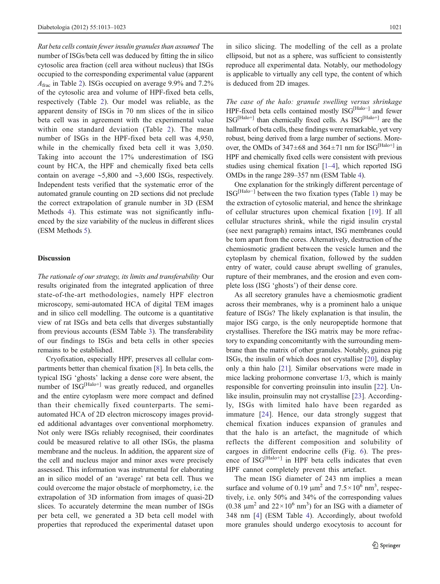Rat beta cells contain fewer insulin granules than assumed The number of ISGs/beta cell was deduced by fitting the in silico cytosolic area fraction (cell area without nucleus) that ISGs occupied to the corresponding experimental value (apparent  $A_{\text{frac}}$  in Table [2\)](#page-7-0). ISGs occupied on average 9.9% and 7.2% of the cytosolic area and volume of HPF-fixed beta cells, respectively (Table [2](#page-7-0)). Our model was reliable, as the apparent density of ISGs in 70 nm slices of the in silico beta cell was in agreement with the experimental value within one standard deviation (Table [2\)](#page-7-0). The mean number of ISGs in the HPF-fixed beta cell was 4,950, while in the chemically fixed beta cell it was 3,050. Taking into account the 17% underestimation of ISG count by HCA, the HPF and chemically fixed beta cells contain on average ∼5,800 and ∼3,600 ISGs, respectively. Independent tests verified that the systematic error of the automated granule counting on 2D sections did not preclude the correct extrapolation of granule number in 3D (ESM Methods 4). This estimate was not significantly influenced by the size variability of the nucleus in different slices (ESM Methods 5).

### Discussion

The rationale of our strategy, its limits and transferability Our results originated from the integrated application of three state-of-the-art methodologies, namely HPF electron microscopy, semi-automated HCA of digital TEM images and in silico cell modelling. The outcome is a quantitative view of rat ISGs and beta cells that diverges substantially from previous accounts (ESM Table 3). The transferability of our findings to ISGs and beta cells in other species remains to be established.

Cryofixation, especially HPF, preserves all cellular compartments better than chemical fixation [\[8](#page-11-0)]. In beta cells, the typical ISG 'ghosts' lacking a dense core were absent, the number of ISG[Halo+] was greatly reduced, and organelles and the entire cytoplasm were more compact and defined than their chemically fixed counterparts. The semiautomated HCA of 2D electron microscopy images provided additional advantages over conventional morphometry. Not only were ISGs reliably recognised, their coordinates could be measured relative to all other ISGs, the plasma membrane and the nucleus. In addition, the apparent size of the cell and nucleus major and minor axes were precisely assessed. This information was instrumental for elaborating an in silico model of an 'average' rat beta cell. Thus we could overcome the major obstacle of morphometry, i.e. the extrapolation of 3D information from images of quasi-2D slices. To accurately determine the mean number of ISGs per beta cell, we generated a 3D beta cell model with properties that reproduced the experimental dataset upon in silico slicing. The modelling of the cell as a prolate ellipsoid, but not as a sphere, was sufficient to consistently reproduce all experimental data. Notably, our methodology is applicable to virtually any cell type, the content of which is deduced from 2D images.

The case of the halo: granule swelling versus shrinkage HPF-fixed beta cells contained mostly ISG<sup>[Halo−]</sup> and fewer  $\text{ISG}^{\text{[Halo+]}}$  than chemically fixed cells. As  $\text{ISG}^{\text{[Halo+]}}$  are the hallmark of beta cells, these findings were remarkable, yet very robust, being derived from a large number of sections. Moreover, the OMDs of  $347\pm68$  and  $364\pm71$  nm for ISG<sup>[Halo+]</sup> in HPF and chemically fixed cells were consistent with previous studies using chemical fixation [\[1](#page-11-0)–[4](#page-11-0)], which reported ISG OMDs in the range 289–357 nm (ESM Table 4).

One explanation for the strikingly different percentage of ISG[Halo−] between the two fixation types (Table [1](#page-4-0)) may be the extraction of cytosolic material, and hence the shrinkage of cellular structures upon chemical fixation [\[19\]](#page-11-0). If all cellular structures shrink, while the rigid insulin crystal (see next paragraph) remains intact, ISG membranes could be torn apart from the cores. Alternatively, destruction of the chemiosmotic gradient between the vesicle lumen and the cytoplasm by chemical fixation, followed by the sudden entry of water, could cause abrupt swelling of granules, rupture of their membranes, and the erosion and even complete loss (ISG 'ghosts') of their dense core.

As all secretory granules have a chemiosmotic gradient across their membranes, why is a prominent halo a unique feature of ISGs? The likely explanation is that insulin, the major ISG cargo, is the only neuropeptide hormone that crystallises. Therefore the ISG matrix may be more refractory to expanding concomitantly with the surrounding membrane than the matrix of other granules. Notably, guinea pig ISGs, the insulin of which does not crystallise [\[20](#page-11-0)], display only a thin halo [[21\]](#page-11-0). Similar observations were made in mice lacking prohormone convertase 1/3, which is mainly responsible for converting proinsulin into insulin [[22\]](#page-11-0). Un-like insulin, proinsulin may not crystallise [[23\]](#page-11-0). Accordingly, ISGs with limited halo have been regarded as immature [\[24](#page-11-0)]. Hence, our data strongly suggest that chemical fixation induces expansion of granules and that the halo is an artefact, the magnitude of which reflects the different composition and solubility of cargoes in different endocrine cells (Fig. [6](#page-10-0)). The presence of ISG<sup>[Halo+]</sup> in HPF beta cells indicates that even HPF cannot completely prevent this artefact.

The mean ISG diameter of 243 nm implies a mean surface and volume of 0.19  $\mu$ m<sup>2</sup> and 7.5 × 10<sup>6</sup> nm<sup>3</sup>, respectively, i.e. only 50% and 34% of the corresponding values (0.38  $\mu$ m<sup>2</sup> and 22×10<sup>6</sup> nm<sup>3</sup>) for an ISG with a diameter of 348 nm [\[4](#page-11-0)] (ESM Table 4). Accordingly, about twofold more granules should undergo exocytosis to account for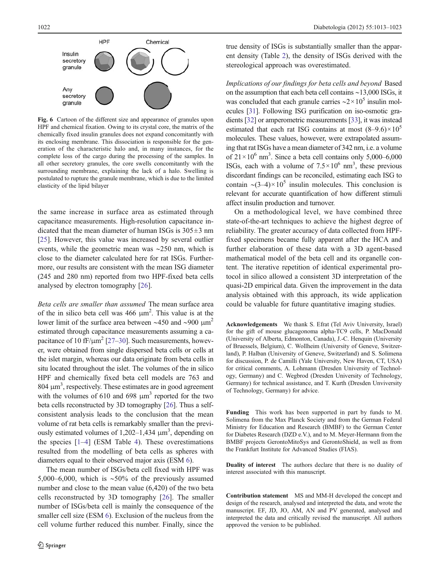<span id="page-10-0"></span>

Fig. 6 Cartoon of the different size and appearance of granules upon HPF and chemical fixation. Owing to its crystal core, the matrix of the chemically fixed insulin granules does not expand concomitantly with its enclosing membrane. This dissociation is responsible for the generation of the characteristic halo and, in many instances, for the complete loss of the cargo during the processing of the samples. In all other secretory granules, the core swells concomitantly with the surrounding membrane, explaining the lack of a halo. Swelling is postulated to rupture the granule membrane, which is due to the limited elasticity of the lipid bilayer

the same increase in surface area as estimated through capacitance measurements. High-resolution capacitance indicated that the mean diameter of human ISGs is  $305 \pm 3$  nm [\[25](#page-11-0)]. However, this value was increased by several outlier events, while the geometric mean was ∼250 nm, which is close to the diameter calculated here for rat ISGs. Furthermore, our results are consistent with the mean ISG diameter (245 and 280 nm) reported from two HPF-fixed beta cells analysed by electron tomography [\[26](#page-11-0)].

Beta cells are smaller than assumed The mean surface area of the in silico beta cell was  $466 \mu m^2$ . This value is at the lower limit of the surface area between ∼450 and ∼900 μm2 estimated through capacitance measurements assuming a capacitance of 10 fF/ $\mu$ m<sup>2</sup> [[27](#page-11-0)–[30](#page-11-0)]. Such measurements, however, were obtained from single dispersed beta cells or cells at the islet margin, whereas our data originate from beta cells in situ located throughout the islet. The volumes of the in silico HPF and chemically fixed beta cell models are 763 and  $804 \mu m<sup>3</sup>$ , respectively. These estimates are in good agreement with the volumes of 610 and 698  $\mu$ m<sup>3</sup> reported for the two beta cells reconstructed by 3D tomography [[26\]](#page-11-0). Thus a selfconsistent analysis leads to the conclusion that the mean volume of rat beta cells is remarkably smaller than the previously estimated volumes of  $1,202-1,434 \mu m^3$ , depending on the species  $[1-4]$  $[1-4]$  $[1-4]$  (ESM Table 4). These overestimations resulted from the modelling of beta cells as spheres with diameters equal to their observed major axis (ESM 6).

The mean number of ISGs/beta cell fixed with HPF was 5,000–6,000, which is ∼50% of the previously assumed number and close to the mean value (6,420) of the two beta cells reconstructed by 3D tomography [[26\]](#page-11-0). The smaller number of ISGs/beta cell is mainly the consequence of the smaller cell size (ESM 6). Exclusion of the nucleus from the cell volume further reduced this number. Finally, since the

true density of ISGs is substantially smaller than the apparent density (Table [2\)](#page-7-0), the density of ISGs derived with the stereological approach was overestimated.

Implications of our findings for beta cells and beyond Based on the assumption that each beta cell contains ∼13,000 ISGs, it was concluded that each granule carries  $\sim$ 2×10<sup>5</sup> insulin molecules [\[31\]](#page-11-0). Following ISG purification on iso-osmotic gradients [\[32\]](#page-11-0) or amperometric measurements [\[33\]](#page-11-0), it was instead estimated that each rat ISG contains at most  $(8-9.6) \times 10^5$ molecules. These values, however, were extrapolated assuming that rat ISGs have a mean diameter of 342 nm, i.e. a volume of  $21 \times 10^6$  nm<sup>3</sup>. Since a beta cell contains only 5,000–6,000 ISGs, each with a volume of  $7.5 \times 10^6$  nm<sup>3</sup>, these previous discordant findings can be reconciled, estimating each ISG to contain ∼(3–4)×10<sup>5</sup> insulin molecules. This conclusion is relevant for accurate quantification of how different stimuli affect insulin production and turnover.

On a methodological level, we have combined three state-of-the-art techniques to achieve the highest degree of reliability. The greater accuracy of data collected from HPFfixed specimens became fully apparent after the HCA and further elaboration of these data with a 3D agent-based mathematical model of the beta cell and its organelle content. The iterative repetition of identical experimental protocol in silico allowed a consistent 3D interpretation of the quasi-2D empirical data. Given the improvement in the data analysis obtained with this approach, its wide application could be valuable for future quantitative imaging studies.

Acknowledgements We thank S. Efrat (Tel Aviv University, Israel) for the gift of mouse glucagonoma alpha-TC9 cells, P. MacDonald (University of Alberta, Edmonton, Canada), J.-C. Henquin (University of Bruessels, Belgium), C. Wollheim (University of Geneve, Switzerland), P. Halban (University of Geneve, Switzerland) and S. Solimena for discussion, P. de Camilli (Yale University, New Haven, CT, USA) for critical comments, A. Lohmann (Dresden University of Technology, Germany) and C. Wegbrod (Dresden University of Technology, Germany) for technical assistance, and T. Kurth (Dresden Unviversity of Technology, Germany) for advice.

Funding This work has been supported in part by funds to M. Solimena from the Max Planck Society and from the German Federal Ministry for Education and Research (BMBF) to the German Center for Diabetes Research (DZD e.V.), and to M. Meyer-Hermann from the BMBF projects GerontoMitoSys and GerontoShield, as well as from the Frankfurt Institute for Advanced Studies (FIAS).

Duality of interest The authors declare that there is no duality of interest associated with this manuscript.

Contribution statement MS and MM-H developed the concept and design of the research, analysed and interpreted the data, and wrote the manuscript. EF, JD, JO, AM, AN and PV generated, analysed and interpreted the data and critically revised the manuscript. All authors approved the version to be published.